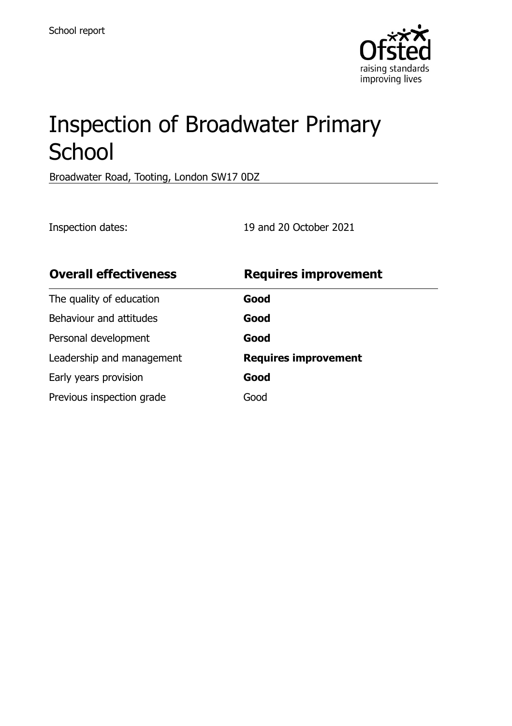

# Inspection of Broadwater Primary **School**

Broadwater Road, Tooting, London SW17 0DZ

Inspection dates: 19 and 20 October 2021

| <b>Overall effectiveness</b> | <b>Requires improvement</b> |
|------------------------------|-----------------------------|
| The quality of education     | Good                        |
| Behaviour and attitudes      | Good                        |
| Personal development         | Good                        |
| Leadership and management    | <b>Requires improvement</b> |
| Early years provision        | Good                        |
| Previous inspection grade    | Good                        |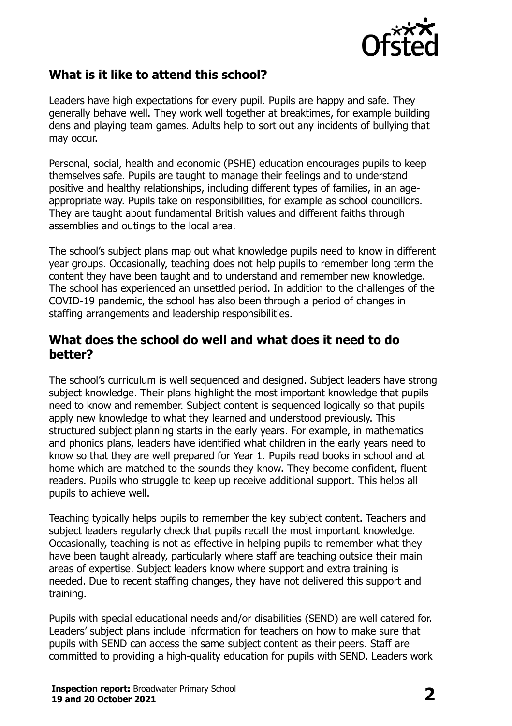

## **What is it like to attend this school?**

Leaders have high expectations for every pupil. Pupils are happy and safe. They generally behave well. They work well together at breaktimes, for example building dens and playing team games. Adults help to sort out any incidents of bullying that may occur.

Personal, social, health and economic (PSHE) education encourages pupils to keep themselves safe. Pupils are taught to manage their feelings and to understand positive and healthy relationships, including different types of families, in an ageappropriate way. Pupils take on responsibilities, for example as school councillors. They are taught about fundamental British values and different faiths through assemblies and outings to the local area.

The school's subject plans map out what knowledge pupils need to know in different year groups. Occasionally, teaching does not help pupils to remember long term the content they have been taught and to understand and remember new knowledge. The school has experienced an unsettled period. In addition to the challenges of the COVID-19 pandemic, the school has also been through a period of changes in staffing arrangements and leadership responsibilities.

#### **What does the school do well and what does it need to do better?**

The school's curriculum is well sequenced and designed. Subject leaders have strong subject knowledge. Their plans highlight the most important knowledge that pupils need to know and remember. Subject content is sequenced logically so that pupils apply new knowledge to what they learned and understood previously. This structured subject planning starts in the early years. For example, in mathematics and phonics plans, leaders have identified what children in the early years need to know so that they are well prepared for Year 1. Pupils read books in school and at home which are matched to the sounds they know. They become confident, fluent readers. Pupils who struggle to keep up receive additional support. This helps all pupils to achieve well.

Teaching typically helps pupils to remember the key subject content. Teachers and subject leaders regularly check that pupils recall the most important knowledge. Occasionally, teaching is not as effective in helping pupils to remember what they have been taught already, particularly where staff are teaching outside their main areas of expertise. Subject leaders know where support and extra training is needed. Due to recent staffing changes, they have not delivered this support and training.

Pupils with special educational needs and/or disabilities (SEND) are well catered for. Leaders' subject plans include information for teachers on how to make sure that pupils with SEND can access the same subject content as their peers. Staff are committed to providing a high-quality education for pupils with SEND. Leaders work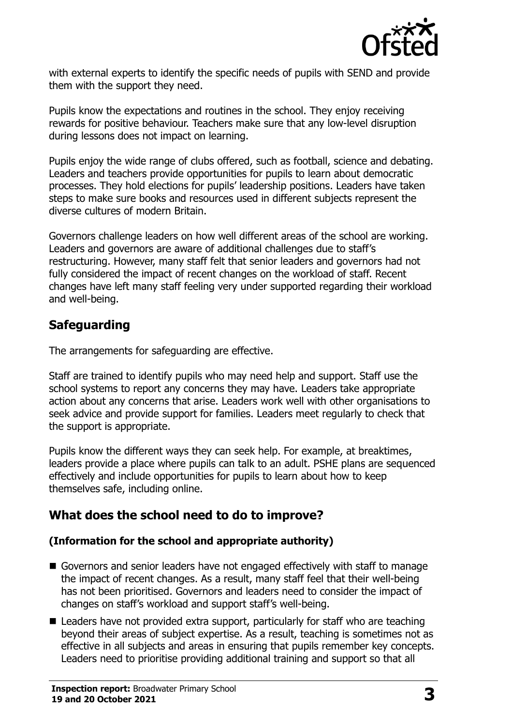

with external experts to identify the specific needs of pupils with SEND and provide them with the support they need.

Pupils know the expectations and routines in the school. They enjoy receiving rewards for positive behaviour. Teachers make sure that any low-level disruption during lessons does not impact on learning.

Pupils enjoy the wide range of clubs offered, such as football, science and debating. Leaders and teachers provide opportunities for pupils to learn about democratic processes. They hold elections for pupils' leadership positions. Leaders have taken steps to make sure books and resources used in different subjects represent the diverse cultures of modern Britain.

Governors challenge leaders on how well different areas of the school are working. Leaders and governors are aware of additional challenges due to staff's restructuring. However, many staff felt that senior leaders and governors had not fully considered the impact of recent changes on the workload of staff. Recent changes have left many staff feeling very under supported regarding their workload and well-being.

#### **Safeguarding**

The arrangements for safeguarding are effective.

Staff are trained to identify pupils who may need help and support. Staff use the school systems to report any concerns they may have. Leaders take appropriate action about any concerns that arise. Leaders work well with other organisations to seek advice and provide support for families. Leaders meet regularly to check that the support is appropriate.

Pupils know the different ways they can seek help. For example, at breaktimes, leaders provide a place where pupils can talk to an adult. PSHE plans are sequenced effectively and include opportunities for pupils to learn about how to keep themselves safe, including online.

#### **What does the school need to do to improve?**

#### **(Information for the school and appropriate authority)**

- Governors and senior leaders have not engaged effectively with staff to manage the impact of recent changes. As a result, many staff feel that their well-being has not been prioritised. Governors and leaders need to consider the impact of changes on staff's workload and support staff's well-being.
- Leaders have not provided extra support, particularly for staff who are teaching beyond their areas of subject expertise. As a result, teaching is sometimes not as effective in all subjects and areas in ensuring that pupils remember key concepts. Leaders need to prioritise providing additional training and support so that all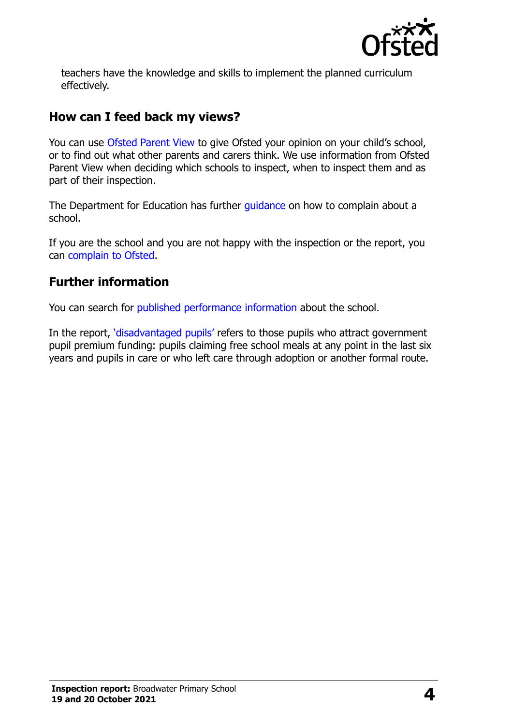

teachers have the knowledge and skills to implement the planned curriculum effectively.

#### **How can I feed back my views?**

You can use [Ofsted Parent View](http://parentview.ofsted.gov.uk/) to give Ofsted your opinion on your child's school, or to find out what other parents and carers think. We use information from Ofsted Parent View when deciding which schools to inspect, when to inspect them and as part of their inspection.

The Department for Education has further quidance on how to complain about a school.

If you are the school and you are not happy with the inspection or the report, you can [complain to Ofsted.](http://www.gov.uk/complain-ofsted-report)

## **Further information**

You can search for [published performance information](http://www.compare-school-performance.service.gov.uk/) about the school.

In the report, '[disadvantaged pupils](http://www.gov.uk/guidance/pupil-premium-information-for-schools-and-alternative-provision-settings)' refers to those pupils who attract government pupil premium funding: pupils claiming free school meals at any point in the last six years and pupils in care or who left care through adoption or another formal route.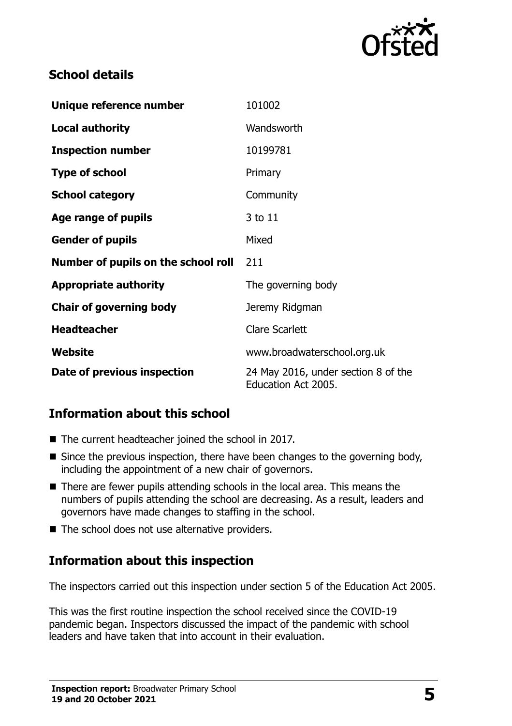

## **School details**

| Unique reference number             | 101002                                                     |  |
|-------------------------------------|------------------------------------------------------------|--|
| <b>Local authority</b>              | Wandsworth                                                 |  |
| <b>Inspection number</b>            | 10199781                                                   |  |
| <b>Type of school</b>               | Primary                                                    |  |
| <b>School category</b>              | Community                                                  |  |
| Age range of pupils                 | 3 to 11                                                    |  |
| <b>Gender of pupils</b>             | Mixed                                                      |  |
| Number of pupils on the school roll | 211                                                        |  |
| <b>Appropriate authority</b>        | The governing body                                         |  |
| <b>Chair of governing body</b>      | Jeremy Ridgman                                             |  |
| <b>Headteacher</b>                  | <b>Clare Scarlett</b>                                      |  |
| Website                             | www.broadwaterschool.org.uk                                |  |
| Date of previous inspection         | 24 May 2016, under section 8 of the<br>Education Act 2005. |  |

## **Information about this school**

- The current headteacher joined the school in 2017.
- $\blacksquare$  Since the previous inspection, there have been changes to the governing body, including the appointment of a new chair of governors.
- There are fewer pupils attending schools in the local area. This means the numbers of pupils attending the school are decreasing. As a result, leaders and governors have made changes to staffing in the school.
- The school does not use alternative providers.

## **Information about this inspection**

The inspectors carried out this inspection under section 5 of the Education Act 2005.

This was the first routine inspection the school received since the COVID-19 pandemic began. Inspectors discussed the impact of the pandemic with school leaders and have taken that into account in their evaluation.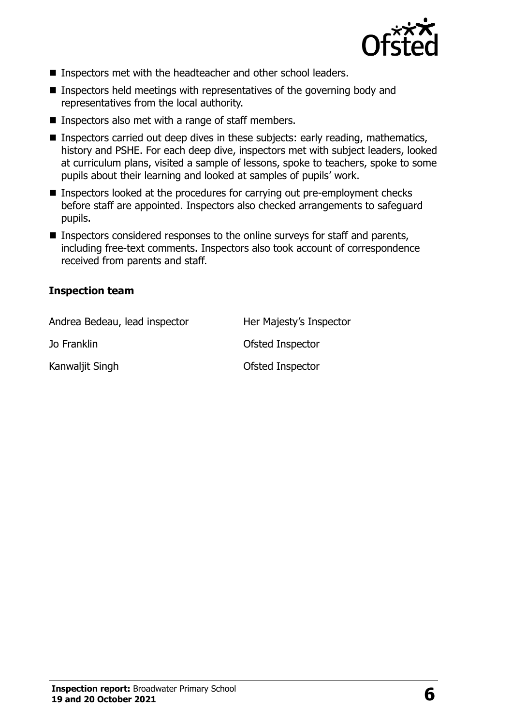

- **Inspectors met with the headteacher and other school leaders.**
- $\blacksquare$  Inspectors held meetings with representatives of the governing body and representatives from the local authority.
- Inspectors also met with a range of staff members.
- Inspectors carried out deep dives in these subjects: early reading, mathematics, history and PSHE. For each deep dive, inspectors met with subject leaders, looked at curriculum plans, visited a sample of lessons, spoke to teachers, spoke to some pupils about their learning and looked at samples of pupils' work.
- Inspectors looked at the procedures for carrying out pre-employment checks before staff are appointed. Inspectors also checked arrangements to safeguard pupils.
- Inspectors considered responses to the online surveys for staff and parents, including free-text comments. Inspectors also took account of correspondence received from parents and staff.

#### **Inspection team**

| Andrea Bedeau, lead inspector | Her Majesty's Inspector |
|-------------------------------|-------------------------|
| Jo Franklin                   | Ofsted Inspector        |
| Kanwaljit Singh               | Ofsted Inspector        |